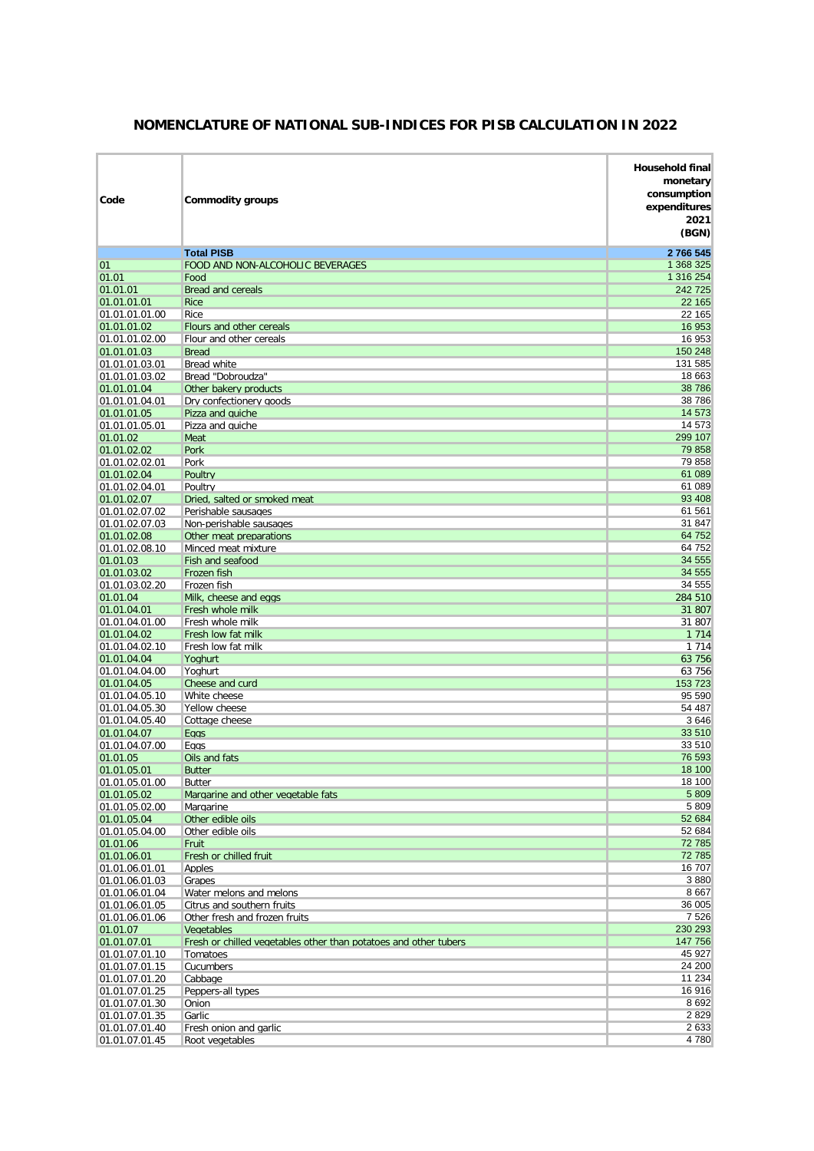| Code                             | <b>Commodity groups</b>                                          | <b>Household final</b><br>monetary<br>consumption<br>expenditures<br>2021<br>(BGN) |
|----------------------------------|------------------------------------------------------------------|------------------------------------------------------------------------------------|
|                                  | <b>Total PISB</b>                                                | 2766545                                                                            |
| 01                               | FOOD AND NON-ALCOHOLIC BEVERAGES                                 | 1 368 325                                                                          |
| 01.01                            | Food                                                             | 1 316 254                                                                          |
| 01.01.01<br>01.01.01.01          | <b>Bread and cereals</b><br><b>Rice</b>                          | 242 725<br>22 165                                                                  |
| 01.01.01.01.00                   | Rice                                                             | 22 165                                                                             |
| 01.01.01.02                      | Flours and other cereals                                         | 16 953                                                                             |
| 01.01.01.02.00                   | Flour and other cereals                                          | 16 953                                                                             |
| 01.01.01.03                      | <b>Bread</b>                                                     | 150 248                                                                            |
| 01.01.01.03.01                   | Bread white                                                      | 131 585                                                                            |
| 01.01.01.03.02                   | Bread "Dobroudza"                                                | 18 663                                                                             |
| 01.01.01.04<br>01.01.01.04.01    | Other bakery products<br>Dry confectionery goods                 | 38786<br>38786                                                                     |
| 01.01.01.05                      | Pizza and quiche                                                 | 14 573                                                                             |
| 01.01.01.05.01                   | Pizza and quiche                                                 | 14 573                                                                             |
| 01.01.02                         | Meat                                                             | 299 107                                                                            |
| 01.01.02.02                      | Pork                                                             | 79 858                                                                             |
| 01.01.02.02.01                   | Pork                                                             | 79858                                                                              |
| 01.01.02.04                      | Poultry                                                          | 61 089                                                                             |
| 01.01.02.04.01<br>01.01.02.07    | Poultry<br>Dried, salted or smoked meat                          | 61 089<br>93 408                                                                   |
| 01.01.02.07.02                   | Perishable sausages                                              | 61 561                                                                             |
| 01.01.02.07.03                   | Non-perishable sausages                                          | 31 847                                                                             |
| 01.01.02.08                      | Other meat preparations                                          | 64 752                                                                             |
| 01.01.02.08.10                   | Minced meat mixture                                              | 64752                                                                              |
| 01.01.03                         | Fish and seafood                                                 | 34 555                                                                             |
| 01.01.03.02                      | Frozen fish                                                      | 34 555                                                                             |
| 01.01.03.02.20                   | Frozen fish                                                      | 34 555                                                                             |
| 01.01.04<br>01.01.04.01          | Milk, cheese and eggs<br>Fresh whole milk                        | 284 510<br>31 807                                                                  |
| 01.01.04.01.00                   | Fresh whole milk                                                 | 31 807                                                                             |
| 01.01.04.02                      | Fresh low fat milk                                               | 1 7 1 4                                                                            |
| 01.01.04.02.10                   | Fresh low fat milk                                               | 1 7 1 4                                                                            |
| 01.01.04.04                      | Yoghurt                                                          | 63 756                                                                             |
| 01.01.04.04.00                   | Yoahurt                                                          | 63 756                                                                             |
| 01.01.04.05                      | Cheese and curd                                                  | 153 723<br>95 590                                                                  |
| 01.01.04.05.10<br>01.01.04.05.30 | White cheese<br>Yellow cheese                                    | 54 487                                                                             |
| 01.01.04.05.40                   | Cottage cheese                                                   | 3 6 4 6                                                                            |
| 01.01.04.07                      | <b>Eggs</b>                                                      | 33 510                                                                             |
| 01.01.04.07.00                   | Eggs                                                             | 33 510                                                                             |
| 01.01.05                         | Oils and fats                                                    | 76 593                                                                             |
| 01.01.05.01                      | <b>Butter</b>                                                    | 18 100                                                                             |
| 01.01.05.01.00<br>01.01.05.02    | Butter<br>Margarine and other vegetable fats                     | 18 100<br>5 8 0 9                                                                  |
| 01.01.05.02.00                   | Margarine                                                        | 5 8 0 9                                                                            |
| 01.01.05.04                      | Other edible oils                                                | 52 684                                                                             |
| 01.01.05.04.00                   | Other edible oils                                                | 52 684                                                                             |
| 01.01.06                         | Fruit                                                            | 72 785                                                                             |
| 01.01.06.01                      | Fresh or chilled fruit                                           | 72 785                                                                             |
| 01.01.06.01.01                   | Apples                                                           | 16 707<br>3880                                                                     |
| 01.01.06.01.03<br>01.01.06.01.04 | Grapes<br>Water melons and melons                                | 8 6 6 7                                                                            |
| 01.01.06.01.05                   | Citrus and southern fruits                                       | 36 005                                                                             |
| 01.01.06.01.06                   | Other fresh and frozen fruits                                    | 7526                                                                               |
| 01.01.07                         | Vegetables                                                       | 230 293                                                                            |
| 01.01.07.01                      | Fresh or chilled vegetables other than potatoes and other tubers | 147 756                                                                            |
| 01.01.07.01.10                   | Tomatoes                                                         | 45 927                                                                             |
| 01.01.07.01.15                   | Cucumbers                                                        | 24 200                                                                             |
| 01.01.07.01.20<br>01.01.07.01.25 | Cabbage                                                          | 11 234<br>16916                                                                    |
| 01.01.07.01.30                   | Peppers-all types<br>Onion                                       | 8 6 9 2                                                                            |
| 01.01.07.01.35                   | Garlic                                                           | 2 8 2 9                                                                            |
| 01.01.07.01.40                   | Fresh onion and garlic                                           | 2 6 3 3                                                                            |
| 01.01.07.01.45                   | Root vegetables                                                  | 4780                                                                               |

## **NOMENCLATURE OF NATIONAL SUB-INDICES FOR PISB CALCULATION IN 2022**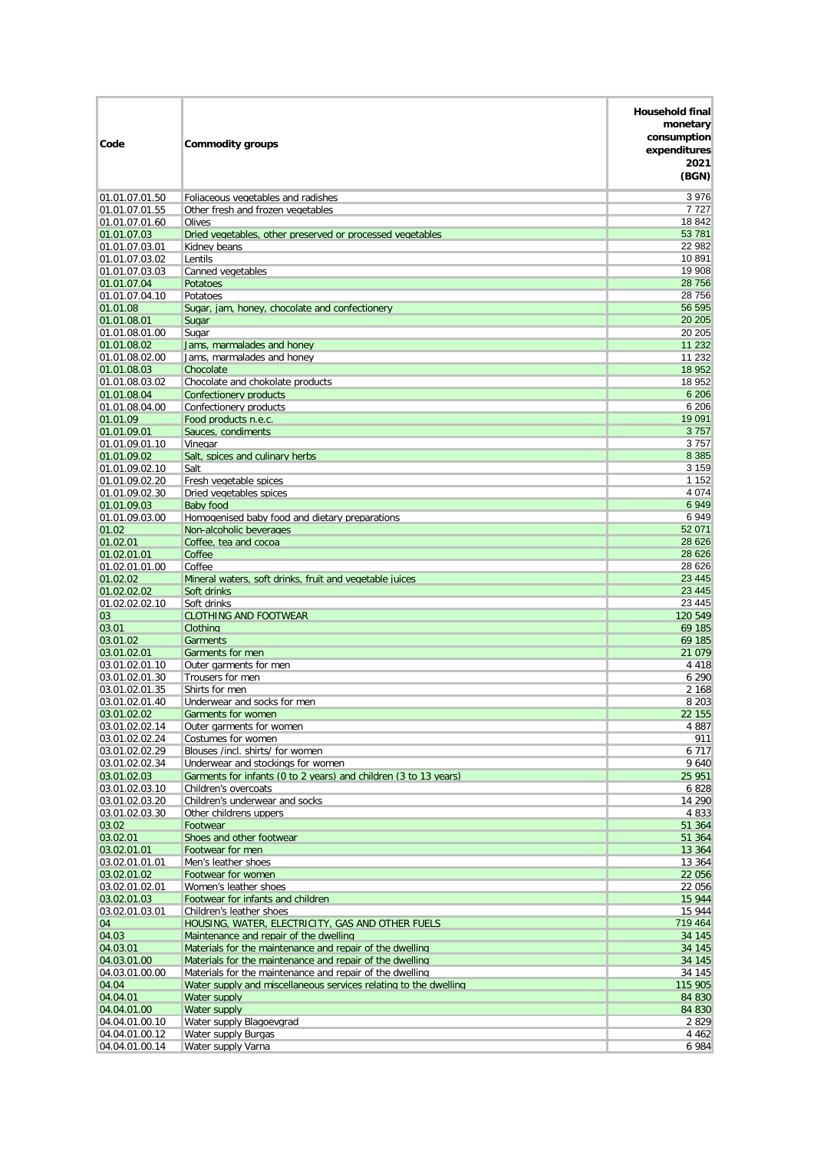| Code                             | <b>Commodity groups</b>                                                                    | <b>Household final</b><br>monetary<br>consumption<br>expenditures<br>2021<br>(BGN) |
|----------------------------------|--------------------------------------------------------------------------------------------|------------------------------------------------------------------------------------|
| 01.01.07.01.50                   | Foliaceous vegetables and radishes                                                         | 3976                                                                               |
| 01.01.07.01.55                   | Other fresh and frozen vegetables                                                          | 7727                                                                               |
| 01.01.07.01.60                   | Olives                                                                                     | 18842                                                                              |
| 01.01.07.03                      | Dried vegetables, other preserved or processed vegetables                                  | 53 781<br>22 982                                                                   |
| 01.01.07.03.01<br>01.01.07.03.02 | Kidney beans<br>Lentils                                                                    | 10891                                                                              |
| 01.01.07.03.03                   | Canned vegetables                                                                          | 19 908                                                                             |
| 01.01.07.04                      | <b>Potatoes</b>                                                                            | 28 756                                                                             |
| 01.01.07.04.10                   | Potatoes                                                                                   | 28756                                                                              |
| 01.01.08                         | Sugar, jam, honey, chocolate and confectionery                                             | 56 595                                                                             |
| 01.01.08.01                      | Sugar                                                                                      | 20 20 5<br>20 20 5                                                                 |
| 01.01.08.01.00<br>01.01.08.02    | Sugar<br>Jams, marmalades and honey                                                        | 11 232                                                                             |
| 01.01.08.02.00                   | Jams, marmalades and honey                                                                 | 11 2 3 2                                                                           |
| 01.01.08.03                      | Chocolate                                                                                  | 18 952                                                                             |
| 01.01.08.03.02                   | Chocolate and chokolate products                                                           | 18 952                                                                             |
| 01.01.08.04                      | Confectionery products                                                                     | 6 20 6                                                                             |
| 01.01.08.04.00                   | Confectionery products                                                                     | 6 20 6<br>19 091                                                                   |
| 01.01.09<br>01.01.09.01          | Food products n.e.c.<br>Sauces, condiments                                                 | 3757                                                                               |
| 01.01.09.01.10                   | Vinegar                                                                                    | 3757                                                                               |
| 01.01.09.02                      | Salt, spices and culinary herbs                                                            | 8 3 8 5                                                                            |
| 01.01.09.02.10                   | Salt                                                                                       | 3 1 5 9                                                                            |
| 01.01.09.02.20                   | Fresh vegetable spices                                                                     | 1 1 5 2                                                                            |
| 01.01.09.02.30                   | Dried vegetables spices                                                                    | 4 0 7 4                                                                            |
| 01.01.09.03<br>01.01.09.03.00    | Baby food<br>Homogenised baby food and dietary preparations                                | 6949<br>6949                                                                       |
| 01.02                            | Non-alcoholic beverages                                                                    | 52 071                                                                             |
| 01.02.01                         | Coffee, tea and cocoa                                                                      | 28 6 26                                                                            |
| 01.02.01.01                      | Coffee                                                                                     | 28 6 26                                                                            |
| 01.02.01.01.00                   | Coffee                                                                                     | 28 6 26                                                                            |
| 01.02.02                         | Mineral waters, soft drinks, fruit and vegetable juices                                    | 23 4 4 5                                                                           |
| 01.02.02.02<br>01.02.02.02.10    | Soft drinks<br>Soft drinks                                                                 | 23 4 45<br>23 4 45                                                                 |
| 03                               | <b>CLOTHING AND FOOTWEAR</b>                                                               | 120 549                                                                            |
| 03.01                            | Clothing                                                                                   | 69 185                                                                             |
| 03.01.02                         | Garments                                                                                   | 69 185                                                                             |
| 03.01.02.01                      | Garments for men                                                                           | 21 0 79                                                                            |
| 03.01.02.01.10<br>03.01.02.01.30 | Outer garments for men                                                                     | 4 4 1 8                                                                            |
| 03.01.02.01.35                   | Trousers for men<br>Shirts for men                                                         | 6 2 9 0<br>2 1 6 8                                                                 |
| 03.01.02.01.40                   | Underwear and socks for men                                                                | 8 2 0 3                                                                            |
| 03.01.02.02                      | Garments for women                                                                         | 22 155                                                                             |
| 03.01.02.02.14                   | Outer garments for women                                                                   | 4 8 8 7                                                                            |
| 03.01.02.02.24                   | Costumes for women                                                                         | 911                                                                                |
| 03.01.02.02.29<br>03.01.02.02.34 | Blouses /incl. shirts/ for women<br>Underwear and stockings for women                      | 6 7 1 7<br>9 640                                                                   |
| 03.01.02.03                      | Garments for infants (0 to 2 years) and children (3 to 13 years)                           | 25 951                                                                             |
| 03.01.02.03.10                   | Children's overcoats                                                                       | 6 8 2 8                                                                            |
| 03.01.02.03.20                   | Children's underwear and socks                                                             | 14 290                                                                             |
| 03.01.02.03.30                   | Other childrens uppers                                                                     | 4 8 3 3                                                                            |
| 03.02                            | Footwear                                                                                   | 51 364                                                                             |
| 03.02.01<br>03.02.01.01          | Shoes and other footwear<br>Footwear for men                                               | 51 364<br>13 364                                                                   |
| 03.02.01.01.01                   | Men's leather shoes                                                                        | 13 364                                                                             |
| 03.02.01.02                      | Footwear for women                                                                         | 22 056                                                                             |
| 03.02.01.02.01                   | Women's leather shoes                                                                      | 22 056                                                                             |
| 03.02.01.03                      | Footwear for infants and children                                                          | 15 944                                                                             |
| 03.02.01.03.01                   | Children's leather shoes                                                                   | 15 944<br>719 464                                                                  |
| 04<br>04.03                      | HOUSING, WATER, ELECTRICITY, GAS AND OTHER FUELS<br>Maintenance and repair of the dwelling | 34 145                                                                             |
| 04.03.01                         | Materials for the maintenance and repair of the dwelling                                   | 34 145                                                                             |
| 04.03.01.00                      | Materials for the maintenance and repair of the dwelling                                   | 34 145                                                                             |
| 04.03.01.00.00                   | Materials for the maintenance and repair of the dwelling                                   | 34 145                                                                             |
| 04.04                            | Water supply and miscellaneous services relating to the dwelling                           | 115 905                                                                            |
| 04.04.01                         | Water supply                                                                               | 84 830                                                                             |
| 04.04.01.00<br>04.04.01.00.10    | Water supply<br>Water supply Blagoevgrad                                                   | 84 830<br>2 8 2 9                                                                  |
| 04.04.01.00.12                   | Water supply Burgas                                                                        | 4 4 6 2                                                                            |
| 04.04.01.00.14                   | Water supply Varna                                                                         | 6 984                                                                              |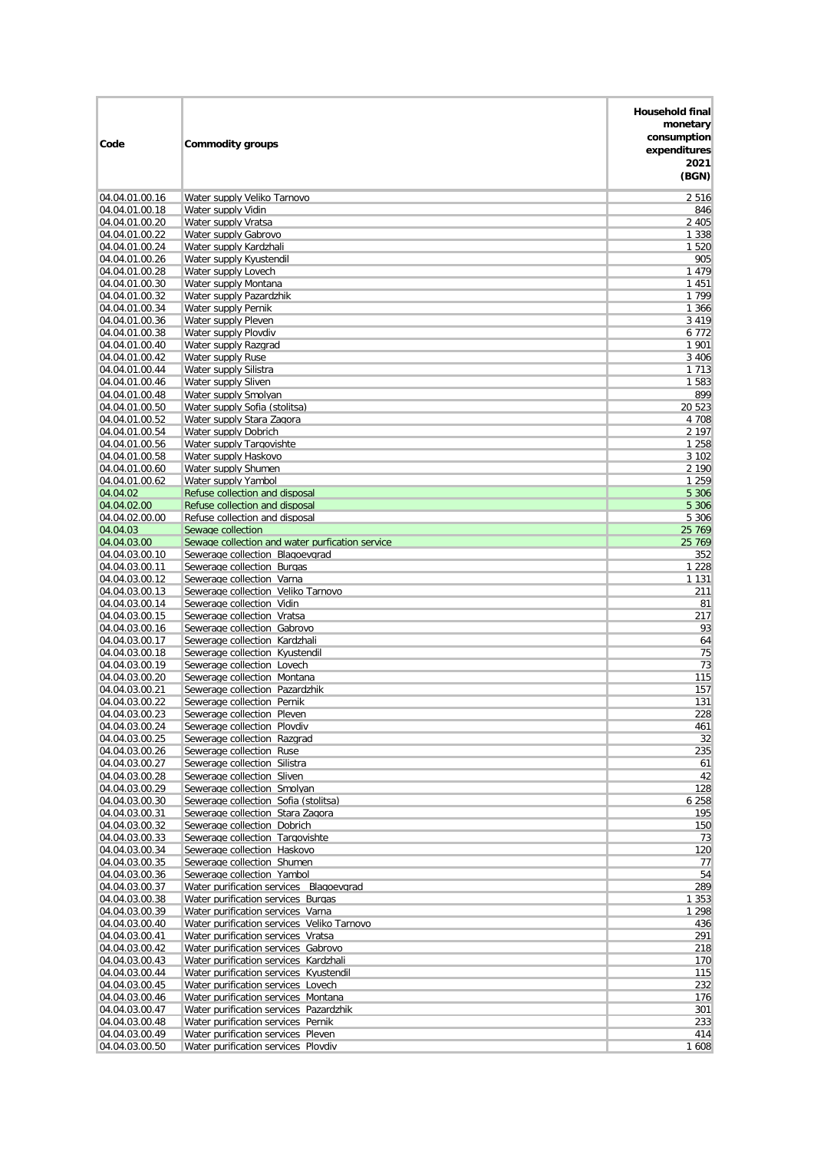| Code                             | <b>Commodity groups</b>                                                         | Household final<br>monetary<br>consumption<br>expenditures<br>2021<br>(BGN) |
|----------------------------------|---------------------------------------------------------------------------------|-----------------------------------------------------------------------------|
| 04.04.01.00.16                   | Water supply Veliko Tarnovo                                                     | 2 5 1 6                                                                     |
| 04.04.01.00.18                   | Water supply Vidin                                                              | 846                                                                         |
| 04.04.01.00.20                   | Water supply Vratsa                                                             | 2 4 0 5                                                                     |
| 04.04.01.00.22<br>04.04.01.00.24 | Water supply Gabrovo<br>Water supply Kardzhali                                  | 1 3 3 8<br>1 5 2 0                                                          |
| 04.04.01.00.26                   | Water supply Kyustendil                                                         | 905                                                                         |
| 04.04.01.00.28                   | Water supply Lovech                                                             | 1479                                                                        |
| 04.04.01.00.30                   | Water supply Montana                                                            | 1 4 5 1                                                                     |
| 04.04.01.00.32                   | Water supply Pazardzhik                                                         | 1 7 9 9                                                                     |
| 04.04.01.00.34                   | Water supply Pernik                                                             | 1 3 6 6                                                                     |
| 04.04.01.00.36<br>04.04.01.00.38 | Water supply Pleven<br>Water supply Plovdiv                                     | 3 4 1 9<br>6 7 7 2                                                          |
| 04.04.01.00.40                   | Water supply Razgrad                                                            | 1 901                                                                       |
| 04.04.01.00.42                   | Water supply Ruse                                                               | 3 4 0 6                                                                     |
| 04.04.01.00.44                   | Water supply Silistra                                                           | 1 7 1 3                                                                     |
| 04.04.01.00.46                   | Water supply Sliven                                                             | 1 5 8 3                                                                     |
| 04.04.01.00.48<br>04.04.01.00.50 | Water supply Smolyan<br>Water supply Sofia (stolitsa)                           | 899<br>20 5 23                                                              |
| 04.04.01.00.52                   | Water supply Stara Zagora                                                       | 4 708                                                                       |
| 04.04.01.00.54                   | Water supply Dobrich                                                            | 2 197                                                                       |
| 04.04.01.00.56                   | Water supply Targovishte                                                        | 1 2 5 8                                                                     |
| 04.04.01.00.58                   | Water supply Haskovo                                                            | 3 1 0 2                                                                     |
| 04.04.01.00.60                   | Water supply Shumen                                                             | 2 1 9 0                                                                     |
| 04.04.01.00.62<br>04.04.02       | Water supply Yambol<br>Refuse collection and disposal                           | 1 2 5 9<br>5 3 0 6                                                          |
| 04.04.02.00                      | Refuse collection and disposal                                                  | 5 3 0 6                                                                     |
| 04.04.02.00.00                   | Refuse collection and disposal                                                  | 5 3 0 6                                                                     |
| 04.04.03                         | Sewage collection                                                               | 25 769                                                                      |
| 04.04.03.00                      | Sewage collection and water purfication service                                 | 25 769                                                                      |
| 04.04.03.00.10<br>04.04.03.00.11 | Sewerage collection Blagoevgrad<br>Sewerage collection Burgas                   | 352<br>1 2 2 8                                                              |
| 04.04.03.00.12                   | Sewerage collection Varna                                                       | 1 1 3 1                                                                     |
| 04.04.03.00.13                   | Sewerage collection Veliko Tarnovo                                              | 211                                                                         |
| 04.04.03.00.14                   | Sewerage collection Vidin                                                       | 81                                                                          |
| 04.04.03.00.15<br>04.04.03.00.16 | Sewerage collection Vratsa<br>Sewerage collection Gabrovo                       | 217<br>93                                                                   |
| 04.04.03.00.17                   | Sewerage collection Kardzhali                                                   | 64                                                                          |
| 04.04.03.00.18                   | Sewerage collection Kyustendil                                                  | 75                                                                          |
| 04.04.03.00.19                   | Sewerage collection Lovech                                                      | 73                                                                          |
| 04.04.03.00.20                   | Sewerage collection Montana                                                     | 115                                                                         |
| 04.04.03.00.21<br>04.04.03.00.22 | Sewerage collection Pazardzhik<br>Sewerage collection Pernik                    | 157<br>131                                                                  |
| 04.04.03.00.23                   | Sewerage collection Pleven                                                      | 228                                                                         |
| 04.04.03.00.24                   | Sewerage collection Plovdiv                                                     | 461                                                                         |
| 04.04.03.00.25                   | Sewerage collection Razgrad                                                     | 32                                                                          |
| 04.04.03.00.26                   | Sewerage collection Ruse                                                        | 235                                                                         |
| 04.04.03.00.27<br>04.04.03.00.28 | Sewerage collection Silistra<br>Sewerage collection Sliven                      | 61<br>42                                                                    |
| 04.04.03.00.29                   | Sewerage collection Smolyan                                                     | 128                                                                         |
| 04.04.03.00.30                   | Sewerage collection Sofia (stolitsa)                                            | 6 2 5 8                                                                     |
| 04.04.03.00.31                   | Sewerage collection Stara Zagora                                                | 195                                                                         |
| 04.04.03.00.32                   | Sewerage collection Dobrich                                                     | 150                                                                         |
| 04.04.03.00.33<br>04.04.03.00.34 | Sewerage collection Targovishte<br>Sewerage collection Haskovo                  | 73<br>120                                                                   |
| 04.04.03.00.35                   | Sewerage collection Shumen                                                      | 77                                                                          |
| 04.04.03.00.36                   | Sewerage collection Yambol                                                      | 54                                                                          |
| 04.04.03.00.37                   | Water purification services Blagoevgrad                                         | 289                                                                         |
| 04.04.03.00.38                   | Water purification services Burgas                                              | 1 3 5 3                                                                     |
| 04.04.03.00.39<br>04.04.03.00.40 | Water purification services Varna<br>Water purification services Veliko Tarnovo | 1 2 9 8<br>436                                                              |
| 04.04.03.00.41                   | Water purification services Vratsa                                              | 291                                                                         |
| 04.04.03.00.42                   | Water purification services Gabrovo                                             | 218                                                                         |
| 04.04.03.00.43                   | Water purification services Kardzhali                                           | 170                                                                         |
| 04.04.03.00.44                   | Water purification services Kyustendil                                          | 115                                                                         |
| 04.04.03.00.45<br>04.04.03.00.46 | Water purification services Lovech<br>Water purification services Montana       | 232<br>176                                                                  |
| 04.04.03.00.47                   | Water purification services Pazardzhik                                          | 301                                                                         |
| 04.04.03.00.48                   | Water purification services Pernik                                              | 233                                                                         |
| 04.04.03.00.49                   | Water purification services Pleven                                              | 414                                                                         |
| 04.04.03.00.50                   | Water purification services Plovdiv                                             | 1 608                                                                       |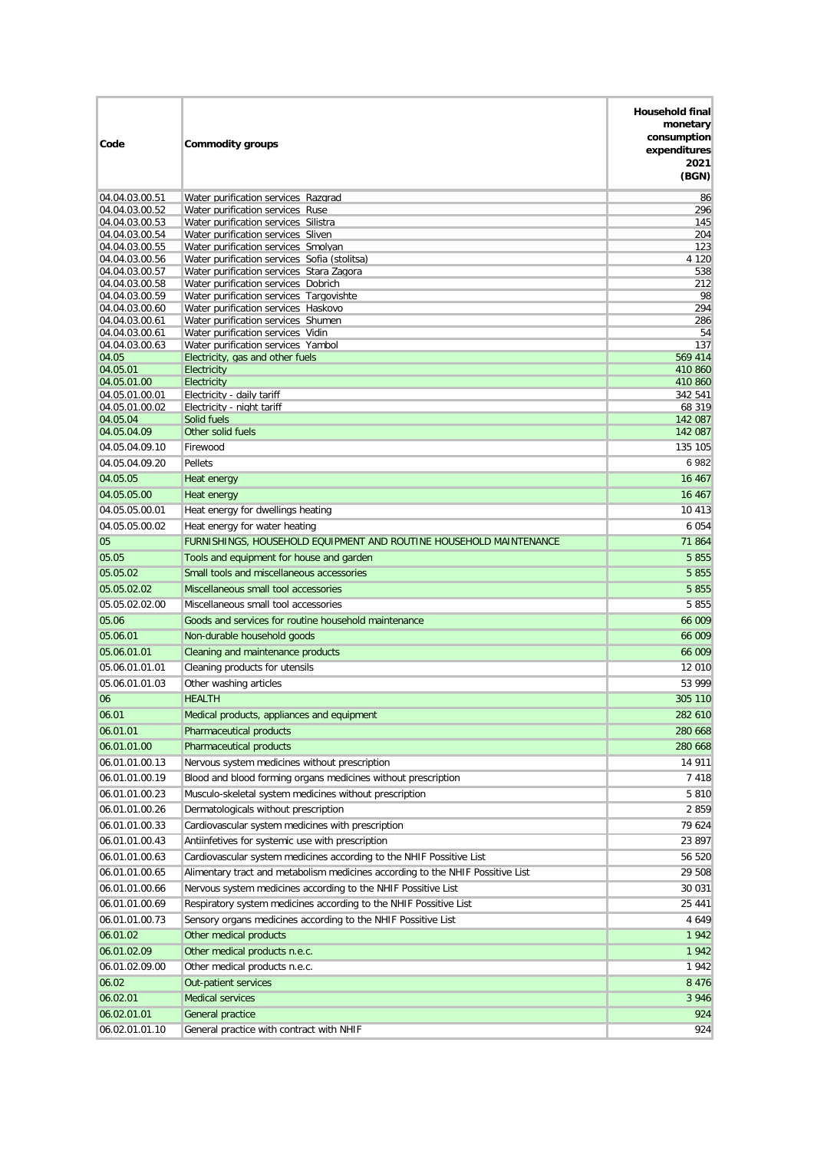| Code                             | <b>Commodity groups</b>                                                                      | <b>Household final</b><br>monetary<br>consumption<br>expenditures<br>2021<br>(BGN) |
|----------------------------------|----------------------------------------------------------------------------------------------|------------------------------------------------------------------------------------|
| 04.04.03.00.51                   | Water purification services Razgrad                                                          | 86                                                                                 |
| 04.04.03.00.52                   | Water purification services Ruse                                                             | 296                                                                                |
| 04.04.03.00.53                   | Water purification services Silistra                                                         | 145                                                                                |
| 04.04.03.00.54<br>04.04.03.00.55 | Water purification services Sliven<br>Water purification services Smolyan                    | 204<br>123                                                                         |
| 04.04.03.00.56                   | Water purification services Sofia (stolitsa)                                                 | 4 1 2 0                                                                            |
| 04.04.03.00.57                   | Water purification services Stara Zagora                                                     | 538                                                                                |
| 04.04.03.00.58                   | Water purification services Dobrich                                                          | 212                                                                                |
| 04.04.03.00.59                   | Water purification services Targovishte                                                      | 98                                                                                 |
| 04.04.03.00.60<br>04.04.03.00.61 | Water purification services Haskovo<br>Water purification services Shumen                    | 294<br>286                                                                         |
| 04.04.03.00.61                   | Water purification services Vidin                                                            | 54                                                                                 |
| 04.04.03.00.63                   | Water purification services Yambol                                                           | 137                                                                                |
| 04.05                            | Electricity, gas and other fuels                                                             | 569 414                                                                            |
| 04.05.01<br>04.05.01.00          | Electricity<br>Electricity                                                                   | 410 860<br>410 860                                                                 |
| 04.05.01.00.01                   | Electricity - daily tariff                                                                   | 342 541                                                                            |
| 04.05.01.00.02                   | Electricity - night tariff                                                                   | 68 319                                                                             |
| 04.05.04                         | Solid fuels                                                                                  | 142 087                                                                            |
| 04.05.04.09                      | Other solid fuels<br>Firewood                                                                | 142 087<br>135 105                                                                 |
| 04.05.04.09.10<br>04.05.04.09.20 | Pellets                                                                                      | 6982                                                                               |
| 04.05.05                         | <b>Heat energy</b>                                                                           | 16 4 67                                                                            |
| 04.05.05.00                      | Heat energy                                                                                  | 16 467                                                                             |
| 04.05.05.00.01                   | Heat energy for dwellings heating                                                            | 10 413                                                                             |
| 04.05.05.00.02                   | Heat energy for water heating                                                                | 6 0 5 4                                                                            |
| 05                               | FURNISHINGS, HOUSEHOLD EQUIPMENT AND ROUTINE HOUSEHOLD MAINTENANCE                           | 71864                                                                              |
| 05.05                            | Tools and equipment for house and garden                                                     | 5 8 5 5                                                                            |
| 05.05.02                         | Small tools and miscellaneous accessories                                                    | 5 8 5 5                                                                            |
| 05.05.02.02                      | Miscellaneous small tool accessories                                                         | 5 8 5 5                                                                            |
| 05.05.02.02.00<br>05.06          | Miscellaneous small tool accessories<br>Goods and services for routine household maintenance | 5855<br>66 009                                                                     |
| 05.06.01                         | Non-durable household goods                                                                  | 66 009                                                                             |
| 05.06.01.01                      | Cleaning and maintenance products                                                            | 66 009                                                                             |
| 05.06.01.01.01                   | Cleaning products for utensils                                                               | 12 010                                                                             |
| 05.06.01.01.03                   | Other washing articles                                                                       | 53 999                                                                             |
| 06                               | <b>HEALTH</b>                                                                                | 305 110                                                                            |
| 06.01                            | Medical products, appliances and equipment                                                   | 282 610                                                                            |
| 06.01.01                         | <b>Pharmaceutical products</b>                                                               | 280 668                                                                            |
| 06.01.01.00<br>06.01.01.00.13    | <b>Pharmaceutical products</b><br>Nervous system medicines without prescription              | 280 668<br>14 911                                                                  |
| 06.01.01.00.19                   | Blood and blood forming organs medicines without prescription                                | 7 4 1 8                                                                            |
| 06.01.01.00.23                   | Musculo-skeletal system medicines without prescription                                       | 5 8 1 0                                                                            |
| 06.01.01.00.26                   | Dermatologicals without prescription                                                         | 2859                                                                               |
| 06.01.01.00.33                   | Cardiovascular system medicines with prescription                                            | 79 624                                                                             |
| 06.01.01.00.43                   | Antiinfetives for systemic use with prescription                                             | 23 897                                                                             |
| 06.01.01.00.63                   | Cardiovascular system medicines according to the NHIF Possitive List                         | 56 520                                                                             |
| 06.01.01.00.65                   | Alimentary tract and metabolism medicines according to the NHIF Possitive List               | 29 508                                                                             |
| 06.01.01.00.66                   | Nervous system medicines according to the NHIF Possitive List                                | 30 031                                                                             |
| 06.01.01.00.69                   | Respiratory system medicines according to the NHIF Possitive List                            | 25 441                                                                             |
| 06.01.01.00.73                   | Sensory organs medicines according to the NHIF Possitive List                                | 4 6 4 9                                                                            |
| 06.01.02                         | Other medical products                                                                       | 1942                                                                               |
| 06.01.02.09                      | Other medical products n.e.c.                                                                | 1942                                                                               |
| 06.01.02.09.00                   | Other medical products n.e.c.                                                                | 1942                                                                               |
| 06.02                            | Out-patient services                                                                         | 8 4 7 6                                                                            |
| 06.02.01                         | <b>Medical services</b>                                                                      | 3 9 4 6                                                                            |
| 06.02.01.01                      | General practice                                                                             | 924                                                                                |
| 06.02.01.01.10                   | General practice with contract with NHIF                                                     | 924                                                                                |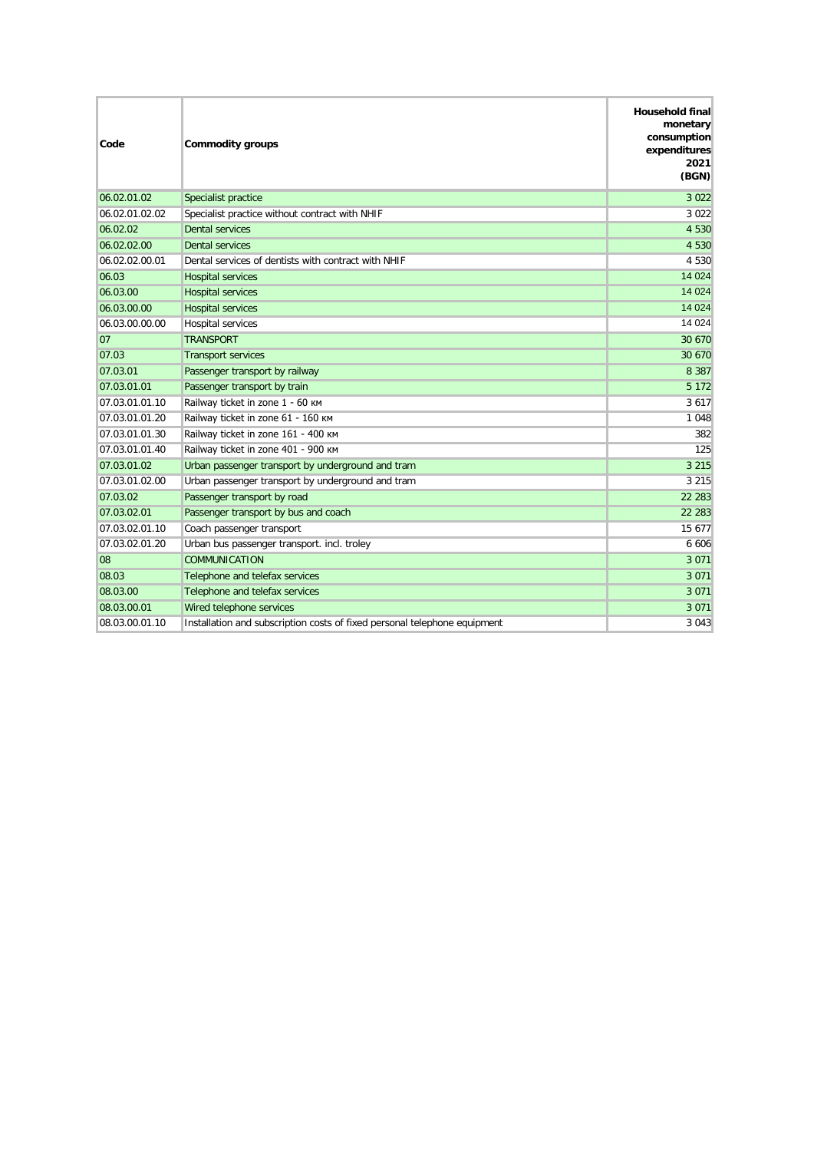| Code           | <b>Commodity groups</b>                                                   | <b>Household final</b><br>monetary<br>consumption<br>expenditures<br>2021<br>(BGN) |
|----------------|---------------------------------------------------------------------------|------------------------------------------------------------------------------------|
| 06.02.01.02    | Specialist practice                                                       | 3 0 2 2                                                                            |
| 06.02.01.02.02 | Specialist practice without contract with NHIF                            | 3 0 2 2                                                                            |
| 06.02.02       | <b>Dental services</b>                                                    | 4 5 3 0                                                                            |
| 06.02.02.00    | <b>Dental services</b>                                                    | 4 5 3 0                                                                            |
| 06.02.02.00.01 | Dental services of dentists with contract with NHIF                       | 4 5 3 0                                                                            |
| 06.03          | <b>Hospital services</b>                                                  | 14 0 24                                                                            |
| 06.03.00       | <b>Hospital services</b>                                                  | 14 0 24                                                                            |
| 06.03.00.00    | <b>Hospital services</b>                                                  | 14 0 24                                                                            |
| 06.03.00.00.00 | Hospital services                                                         | 14 0 24                                                                            |
| 07             | <b>TRANSPORT</b>                                                          | 30 670                                                                             |
| 07.03          | <b>Transport services</b>                                                 | 30 670                                                                             |
| 07.03.01       | Passenger transport by railway                                            | 8 3 8 7                                                                            |
| 07.03.01.01    | Passenger transport by train                                              | 5 1 7 2                                                                            |
| 07.03.01.01.10 | Railway ticket in zone 1 - 60 KM                                          | 3 6 1 7                                                                            |
| 07.03.01.01.20 | Railway ticket in zone 61 - 160 KM                                        | 1 0 4 8                                                                            |
| 07.03.01.01.30 | Railway ticket in zone 161 - 400 KM                                       | 382                                                                                |
| 07.03.01.01.40 | Railway ticket in zone 401 - 900 KM                                       | 125                                                                                |
| 07.03.01.02    | Urban passenger transport by underground and tram                         | 3 2 1 5                                                                            |
| 07.03.01.02.00 | Urban passenger transport by underground and tram                         | 3 2 1 5                                                                            |
| 07.03.02       | Passenger transport by road                                               | 22 283                                                                             |
| 07.03.02.01    | Passenger transport by bus and coach                                      | 22 28 3                                                                            |
| 07.03.02.01.10 | Coach passenger transport                                                 | 15 677                                                                             |
| 07.03.02.01.20 | Urban bus passenger transport. incl. troley                               | 6 606                                                                              |
| 08             | <b>COMMUNICATION</b>                                                      | 3 0 7 1                                                                            |
| 08.03          | Telephone and telefax services                                            | 3 0 7 1                                                                            |
| 08.03.00       | Telephone and telefax services                                            | 3 0 7 1                                                                            |
| 08.03.00.01    | Wired telephone services                                                  | 3 0 7 1                                                                            |
| 08.03.00.01.10 | Installation and subscription costs of fixed personal telephone equipment | 3 0 4 3                                                                            |